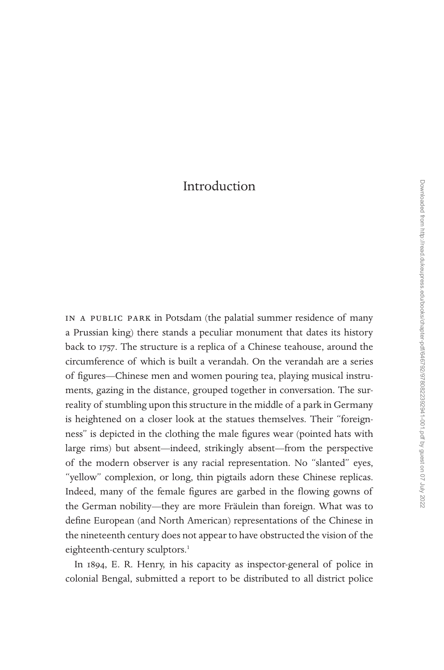## Introduction

in a public park in Potsdam (the palatial summer residence of many a Prussian king) there stands a peculiar monument that dates its history back to 1757. The structure is a replica of a Chinese teahouse, around the circumference of which is built a verandah. On the verandah are a series of figures—Chinese men and women pouring tea, playing musical instruments, gazing in the distance, grouped together in conversation. The surreality of stumbling upon this structure in the middle of a park in Germany is heightened on a closer look at the statues themselves. Their "foreignness" is depicted in the clothing the male figures wear (pointed hats with large rims) but absent—indeed, strikingly absent—from the perspective of the modern observer is any racial representation. No "slanted" eyes, "yellow" complexion, or long, thin pigtails adorn these Chinese replicas. Indeed, many of the female figures are garbed in the flowing gowns of the German nobility—they are more Fräulein than foreign. What was to define European (and North American) representations of the Chinese in the nineteenth century does not appear to have obstructed the vision of the eighteenth-century sculptors.<sup>1</sup>

In 1894, E. R. Henry, in his capacity as inspector-general of police in colonial Bengal, submitted a report to be distributed to all district police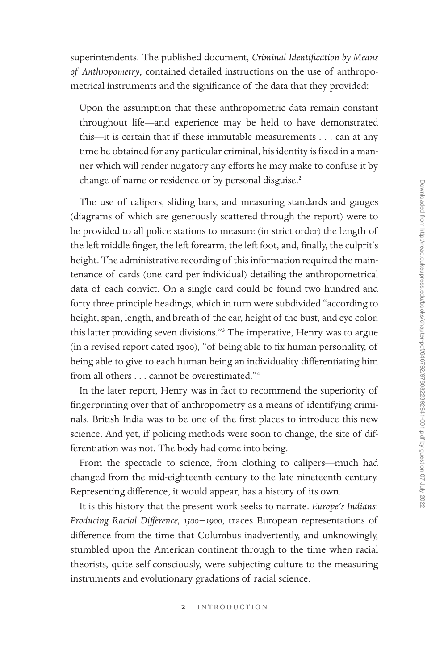superintendents. The published document, *Criminal Identification by Means of Anthropometry*, contained detailed instructions on the use of anthropometrical instruments and the significance of the data that they provided:

Upon the assumption that these anthropometric data remain constant throughout life—and experience may be held to have demonstrated this—it is certain that if these immutable measurements . . . can at any time be obtained for any particular criminal, his identity is fixed in a manner which will render nugatory any efforts he may make to confuse it by change of name or residence or by personal disguise.<sup>2</sup>

The use of calipers, sliding bars, and measuring standards and gauges (diagrams of which are generously scattered through the report) were to be provided to all police stations to measure (in strict order) the length of the left middle finger, the left forearm, the left foot, and, finally, the culprit's height. The administrative recording of this information required the maintenance of cards (one card per individual) detailing the anthropometrical data of each convict. On a single card could be found two hundred and forty three principle headings, which in turn were subdivided "according to height, span, length, and breath of the ear, height of the bust, and eye color, this latter providing seven divisions."3 The imperative, Henry was to argue (in a revised report dated 1900), "of being able to fix human personality, of being able to give to each human being an individuality differentiating him from all others . . . cannot be overestimated."4

In the later report, Henry was in fact to recommend the superiority of fingerprinting over that of anthropometry as a means of identifying criminals. British India was to be one of the first places to introduce this new science. And yet, if policing methods were soon to change, the site of differentiation was not. The body had come into being.

From the spectacle to science, from clothing to calipers—much had changed from the mid-eighteenth century to the late nineteenth century. Representing difference, it would appear, has a history of its own.

It is this history that the present work seeks to narrate. *Europe's Indians*: *Producing Racial Difference, 1500*−*1900*, traces European representations of difference from the time that Columbus inadvertently, and unknowingly, stumbled upon the American continent through to the time when racial theorists, quite self-consciously, were subjecting culture to the measuring instruments and evolutionary gradations of racial science.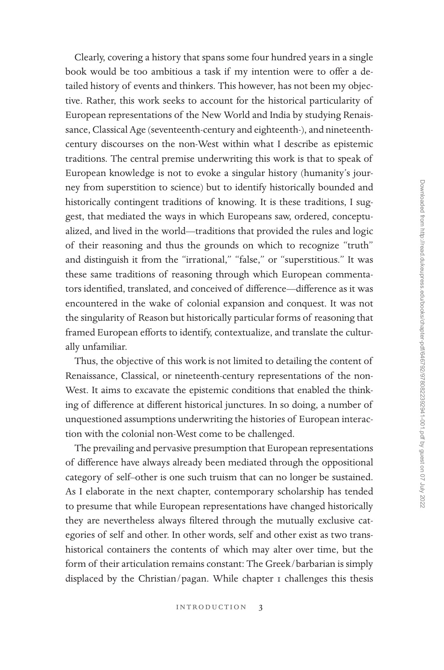Clearly, covering a history that spans some four hundred years in a single book would be too ambitious a task if my intention were to offer a detailed history of events and thinkers. This however, has not been my objective. Rather, this work seeks to account for the historical particularity of European representations of the New World and India by studying Renaissance, Classical Age (seventeenth-century and eighteenth-), and nineteenthcentury discourses on the non-West within what I describe as epistemic traditions. The central premise underwriting this work is that to speak of European knowledge is not to evoke a singular history (humanity's journey from superstition to science) but to identify historically bounded and historically contingent traditions of knowing. It is these traditions, I suggest, that mediated the ways in which Europeans saw, ordered, conceptualized, and lived in the world—traditions that provided the rules and logic of their reasoning and thus the grounds on which to recognize "truth" and distinguish it from the "irrational," "false," or "superstitious." It was these same traditions of reasoning through which European commentators identified, translated, and conceived of difference—difference as it was encountered in the wake of colonial expansion and conquest. It was not the singularity of Reason but historically particular forms of reasoning that framed European efforts to identify, contextualize, and translate the culturally unfamiliar.

Thus, the objective of this work is not limited to detailing the content of Renaissance, Classical, or nineteenth-century representations of the non-West. It aims to excavate the epistemic conditions that enabled the thinking of difference at different historical junctures. In so doing, a number of unquestioned assumptions underwriting the histories of European interaction with the colonial non-West come to be challenged.

The prevailing and pervasive presumption that European representations of difference have always already been mediated through the oppositional category of self–other is one such truism that can no longer be sustained. As I elaborate in the next chapter, contemporary scholarship has tended to presume that while European representations have changed historically they are nevertheless always filtered through the mutually exclusive categories of self and other. In other words, self and other exist as two transhistorical containers the contents of which may alter over time, but the form of their articulation remains constant: The Greek/barbarian is simply displaced by the Christian/pagan. While chapter 1 challenges this thesis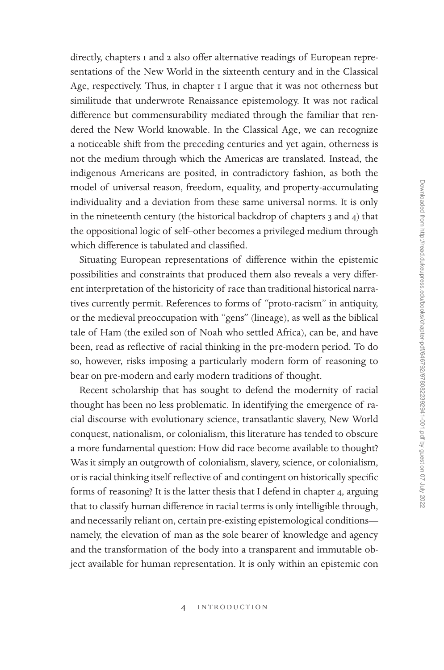directly, chapters I and 2 also offer alternative readings of European representations of the New World in the sixteenth century and in the Classical Age, respectively. Thus, in chapter 1 I argue that it was not otherness but similitude that underwrote Renaissance epistemology. It was not radical difference but commensurability mediated through the familiar that rendered the New World knowable. In the Classical Age, we can recognize a noticeable shift from the preceding centuries and yet again, otherness is not the medium through which the Americas are translated. Instead, the indigenous Americans are posited, in contradictory fashion, as both the model of universal reason, freedom, equality, and property-accumulating individuality and a deviation from these same universal norms. It is only in the nineteenth century (the historical backdrop of chapters 3 and 4) that the oppositional logic of self–other becomes a privileged medium through which difference is tabulated and classified.

Situating European representations of difference within the epistemic possibilities and constraints that produced them also reveals a very different interpretation of the historicity of race than traditional historical narratives currently permit. References to forms of "proto-racism" in antiquity, or the medieval preoccupation with "gens" (lineage), as well as the biblical tale of Ham (the exiled son of Noah who settled Africa), can be, and have been, read as reflective of racial thinking in the pre-modern period. To do so, however, risks imposing a particularly modern form of reasoning to bear on pre-modern and early modern traditions of thought.

Recent scholarship that has sought to defend the modernity of racial thought has been no less problematic. In identifying the emergence of racial discourse with evolutionary science, transatlantic slavery, New World conquest, nationalism, or colonialism, this literature has tended to obscure a more fundamental question: How did race become available to thought? Was it simply an outgrowth of colonialism, slavery, science, or colonialism, or is racial thinking itself reflective of and contingent on historically specific forms of reasoning? It is the latter thesis that I defend in chapter 4, arguing that to classify human difference in racial terms is only intelligible through, and necessarily reliant on, certain pre-existing epistemological conditions namely, the elevation of man as the sole bearer of knowledge and agency and the transformation of the body into a transparent and immutable object available for human representation. It is only within an epistemic con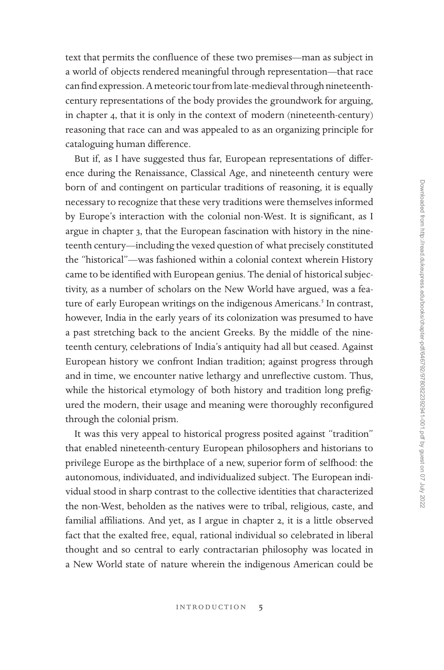text that permits the confluence of these two premises—man as subject in a world of objects rendered meaningful through representation—that race can find expression. A meteoric tour from late-medieval through nineteenthcentury representations of the body provides the groundwork for arguing, in chapter 4, that it is only in the context of modern (nineteenth-century) reasoning that race can and was appealed to as an organizing principle for cataloguing human difference.

But if, as I have suggested thus far, European representations of difference during the Renaissance, Classical Age, and nineteenth century were born of and contingent on particular traditions of reasoning, it is equally necessary to recognize that these very traditions were themselves informed by Europe's interaction with the colonial non-West. It is significant, as I argue in chapter 3, that the European fascination with history in the nineteenth century—including the vexed question of what precisely constituted the "historical"—was fashioned within a colonial context wherein History came to be identified with European genius. The denial of historical subjectivity, as a number of scholars on the New World have argued, was a feature of early European writings on the indigenous Americans.<sup>5</sup> In contrast, however, India in the early years of its colonization was presumed to have a past stretching back to the ancient Greeks. By the middle of the nineteenth century, celebrations of India's antiquity had all but ceased. Against European history we confront Indian tradition; against progress through and in time, we encounter native lethargy and unreflective custom. Thus, while the historical etymology of both history and tradition long prefigured the modern, their usage and meaning were thoroughly reconfigured through the colonial prism.

It was this very appeal to historical progress posited against "tradition" that enabled nineteenth-century European philosophers and historians to privilege Europe as the birthplace of a new, superior form of selfhood: the autonomous, individuated, and individualized subject. The European individual stood in sharp contrast to the collective identities that characterized the non-West, beholden as the natives were to tribal, religious, caste, and familial affiliations. And yet, as I argue in chapter 2, it is a little observed fact that the exalted free, equal, rational individual so celebrated in liberal thought and so central to early contractarian philosophy was located in a New World state of nature wherein the indigenous American could be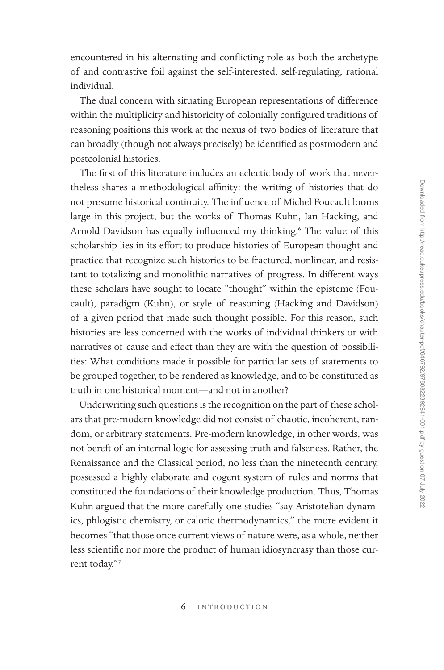encountered in his alternating and conflicting role as both the archetype of and contrastive foil against the self-interested, self-regulating, rational individual.

The dual concern with situating European representations of difference within the multiplicity and historicity of colonially configured traditions of reasoning positions this work at the nexus of two bodies of literature that can broadly (though not always precisely) be identified as postmodern and postcolonial histories.

The first of this literature includes an eclectic body of work that nevertheless shares a methodological affinity: the writing of histories that do not presume historical continuity. The influence of Michel Foucault looms large in this project, but the works of Thomas Kuhn, Ian Hacking, and Arnold Davidson has equally influenced my thinking.<sup>6</sup> The value of this scholarship lies in its effort to produce histories of European thought and practice that recognize such histories to be fractured, nonlinear, and resistant to totalizing and monolithic narratives of progress. In different ways these scholars have sought to locate "thought" within the episteme (Foucault), paradigm (Kuhn), or style of reasoning (Hacking and Davidson) of a given period that made such thought possible. For this reason, such histories are less concerned with the works of individual thinkers or with narratives of cause and effect than they are with the question of possibilities: What conditions made it possible for particular sets of statements to be grouped together, to be rendered as knowledge, and to be constituted as truth in one historical moment—and not in another?

Underwriting such questions is the recognition on the part of these scholars that pre-modern knowledge did not consist of chaotic, incoherent, random, or arbitrary statements. Pre-modern knowledge, in other words, was not bereft of an internal logic for assessing truth and falseness. Rather, the Renaissance and the Classical period, no less than the nineteenth century, possessed a highly elaborate and cogent system of rules and norms that constituted the foundations of their knowledge production. Thus, Thomas Kuhn argued that the more carefully one studies "say Aristotelian dynamics, phlogistic chemistry, or caloric thermodynamics," the more evident it becomes "that those once current views of nature were, as a whole, neither less scientific nor more the product of human idiosyncrasy than those current today."7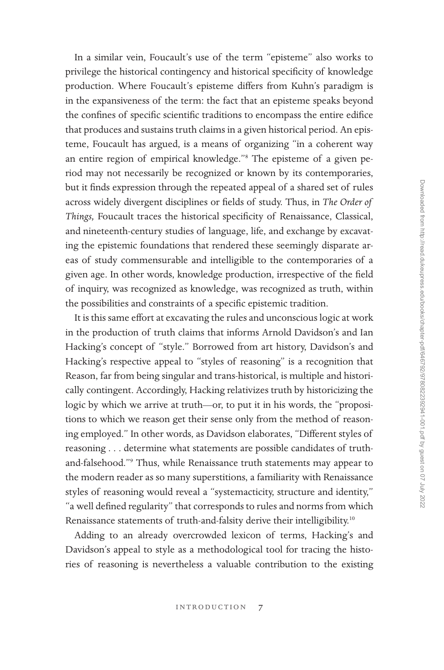In a similar vein, Foucault's use of the term "episteme" also works to privilege the historical contingency and historical specificity of knowledge production. Where Foucault's episteme differs from Kuhn's paradigm is in the expansiveness of the term: the fact that an episteme speaks beyond the confines of specific scientific traditions to encompass the entire edifice that produces and sustains truth claims in a given historical period. An episteme, Foucault has argued, is a means of organizing "in a coherent way an entire region of empirical knowledge."8 The episteme of a given period may not necessarily be recognized or known by its contemporaries, but it finds expression through the repeated appeal of a shared set of rules across widely divergent disciplines or fields of study. Thus, in *The Order of Things,* Foucault traces the historical specificity of Renaissance, Classical, and nineteenth-century studies of language, life, and exchange by excavating the epistemic foundations that rendered these seemingly disparate areas of study commensurable and intelligible to the contemporaries of a given age. In other words, knowledge production, irrespective of the field of inquiry, was recognized as knowledge, was recognized as truth, within the possibilities and constraints of a specific epistemic tradition.

It is this same effort at excavating the rules and unconscious logic at work in the production of truth claims that informs Arnold Davidson's and Ian Hacking's concept of "style." Borrowed from art history, Davidson's and Hacking's respective appeal to "styles of reasoning" is a recognition that Reason, far from being singular and trans-historical, is multiple and historically contingent. Accordingly, Hacking relativizes truth by historicizing the logic by which we arrive at truth—or, to put it in his words, the "propositions to which we reason get their sense only from the method of reasoning employed." In other words, as Davidson elaborates, "Different styles of reasoning . . . determine what statements are possible candidates of truthand-falsehood."9 Thus, while Renaissance truth statements may appear to the modern reader as so many superstitions, a familiarity with Renaissance styles of reasoning would reveal a "systemacticity, structure and identity," "a well defined regularity" that corresponds to rules and norms from which Renaissance statements of truth-and-falsity derive their intelligibility.<sup>10</sup>

Adding to an already overcrowded lexicon of terms, Hacking's and Davidson's appeal to style as a methodological tool for tracing the histories of reasoning is nevertheless a valuable contribution to the existing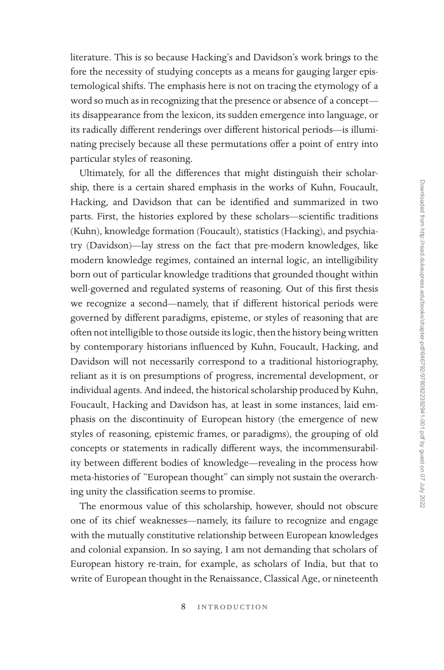literature. This is so because Hacking's and Davidson's work brings to the fore the necessity of studying concepts as a means for gauging larger epistemological shifts. The emphasis here is not on tracing the etymology of a word so much as in recognizing that the presence or absence of a concept its disappearance from the lexicon, its sudden emergence into language, or its radically different renderings over different historical periods—is illuminating precisely because all these permutations offer a point of entry into particular styles of reasoning.

Ultimately, for all the differences that might distinguish their scholarship, there is a certain shared emphasis in the works of Kuhn, Foucault, Hacking, and Davidson that can be identified and summarized in two parts. First, the histories explored by these scholars—scientific traditions (Kuhn), knowledge formation (Foucault), statistics (Hacking), and psychiatry (Davidson)—lay stress on the fact that pre-modern knowledges, like modern knowledge regimes, contained an internal logic, an intelligibility born out of particular knowledge traditions that grounded thought within well-governed and regulated systems of reasoning. Out of this first thesis we recognize a second—namely, that if different historical periods were governed by different paradigms, episteme, or styles of reasoning that are often not intelligible to those outside its logic, then the history being written by contemporary historians influenced by Kuhn, Foucault, Hacking, and Davidson will not necessarily correspond to a traditional historiography, reliant as it is on presumptions of progress, incremental development, or individual agents. And indeed, the historical scholarship produced by Kuhn, Foucault, Hacking and Davidson has, at least in some instances, laid emphasis on the discontinuity of European history (the emergence of new styles of reasoning, epistemic frames, or paradigms), the grouping of old concepts or statements in radically different ways, the incommensurability between different bodies of knowledge—revealing in the process how meta-histories of "European thought" can simply not sustain the overarching unity the classification seems to promise.

The enormous value of this scholarship, however, should not obscure one of its chief weaknesses—namely, its failure to recognize and engage with the mutually constitutive relationship between European knowledges and colonial expansion. In so saying, I am not demanding that scholars of European history re-train, for example, as scholars of India, but that to write of European thought in the Renaissance, Classical Age, or nineteenth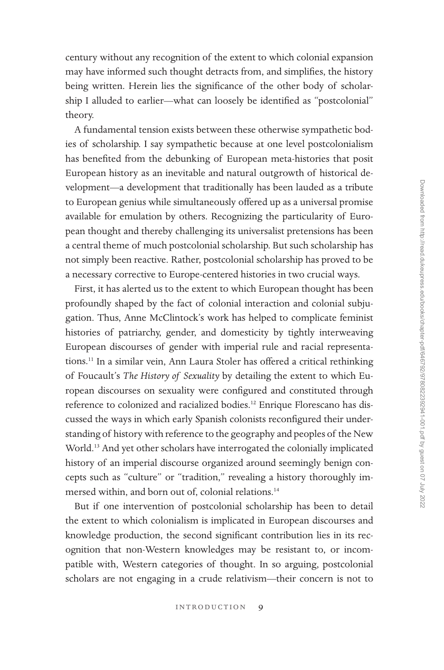century without any recognition of the extent to which colonial expansion may have informed such thought detracts from, and simplifies, the history being written. Herein lies the significance of the other body of scholarship I alluded to earlier—what can loosely be identified as "postcolonial" theory.

A fundamental tension exists between these otherwise sympathetic bodies of scholarship. I say sympathetic because at one level postcolonialism has benefited from the debunking of European meta-histories that posit European history as an inevitable and natural outgrowth of historical development—a development that traditionally has been lauded as a tribute to European genius while simultaneously offered up as a universal promise available for emulation by others. Recognizing the particularity of European thought and thereby challenging its universalist pretensions has been a central theme of much postcolonial scholarship. But such scholarship has not simply been reactive. Rather, postcolonial scholarship has proved to be a necessary corrective to Europe-centered histories in two crucial ways.

First, it has alerted us to the extent to which European thought has been profoundly shaped by the fact of colonial interaction and colonial subjugation. Thus, Anne McClintock's work has helped to complicate feminist histories of patriarchy, gender, and domesticity by tightly interweaving European discourses of gender with imperial rule and racial representations.11 In a similar vein, Ann Laura Stoler has offered a critical rethinking of Foucault's *The History of Sexuality* by detailing the extent to which European discourses on sexuality were configured and constituted through reference to colonized and racialized bodies.<sup>12</sup> Enrique Florescano has discussed the ways in which early Spanish colonists reconfigured their understanding of history with reference to the geography and peoples of the New World.13 And yet other scholars have interrogated the colonially implicated history of an imperial discourse organized around seemingly benign concepts such as "culture" or "tradition," revealing a history thoroughly immersed within, and born out of, colonial relations.<sup>14</sup>

But if one intervention of postcolonial scholarship has been to detail the extent to which colonialism is implicated in European discourses and knowledge production, the second significant contribution lies in its recognition that non-Western knowledges may be resistant to, or incompatible with, Western categories of thought. In so arguing, postcolonial scholars are not engaging in a crude relativism—their concern is not to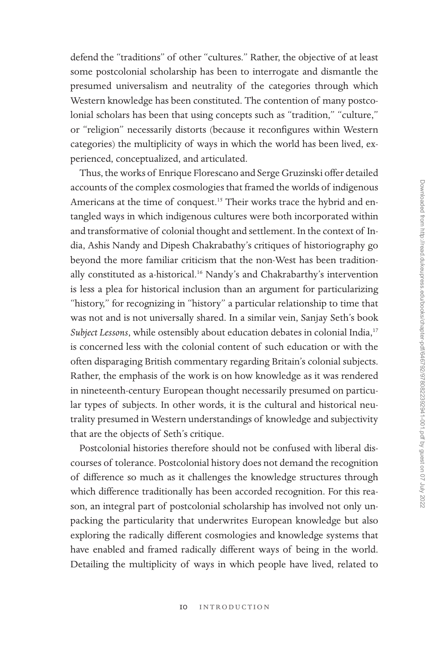defend the "traditions" of other "cultures." Rather, the objective of at least some postcolonial scholarship has been to interrogate and dismantle the presumed universalism and neutrality of the categories through which Western knowledge has been constituted. The contention of many postcolonial scholars has been that using concepts such as "tradition," "culture," or "religion" necessarily distorts (because it reconfigures within Western categories) the multiplicity of ways in which the world has been lived, experienced, conceptualized, and articulated.

Thus, the works of Enrique Florescano and Serge Gruzinski offer detailed accounts of the complex cosmologies that framed the worlds of indigenous Americans at the time of conquest.<sup>15</sup> Their works trace the hybrid and entangled ways in which indigenous cultures were both incorporated within and transformative of colonial thought and settlement. In the context of India, Ashis Nandy and Dipesh Chakrabathy's critiques of historiography go beyond the more familiar criticism that the non-West has been traditionally constituted as a-historical.<sup>16</sup> Nandy's and Chakrabarthy's intervention is less a plea for historical inclusion than an argument for particularizing "history," for recognizing in "history" a particular relationship to time that was not and is not universally shared. In a similar vein, Sanjay Seth's book *Subject Lessons*, while ostensibly about education debates in colonial India,<sup>17</sup> is concerned less with the colonial content of such education or with the often disparaging British commentary regarding Britain's colonial subjects. Rather, the emphasis of the work is on how knowledge as it was rendered in nineteenth-century European thought necessarily presumed on particular types of subjects. In other words, it is the cultural and historical neutrality presumed in Western understandings of knowledge and subjectivity that are the objects of Seth's critique.

Postcolonial histories therefore should not be confused with liberal discourses of tolerance. Postcolonial history does not demand the recognition of difference so much as it challenges the knowledge structures through which difference traditionally has been accorded recognition. For this reason, an integral part of postcolonial scholarship has involved not only unpacking the particularity that underwrites European knowledge but also exploring the radically different cosmologies and knowledge systems that have enabled and framed radically different ways of being in the world. Detailing the multiplicity of ways in which people have lived, related to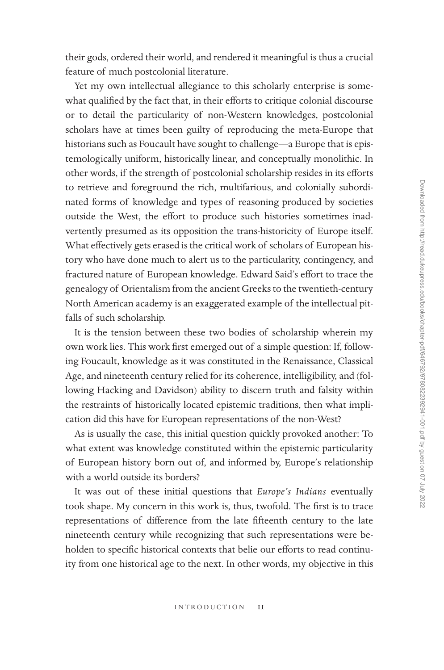their gods, ordered their world, and rendered it meaningful is thus a crucial feature of much postcolonial literature.

Yet my own intellectual allegiance to this scholarly enterprise is somewhat qualified by the fact that, in their efforts to critique colonial discourse or to detail the particularity of non-Western knowledges, postcolonial scholars have at times been guilty of reproducing the meta-Europe that historians such as Foucault have sought to challenge—a Europe that is epistemologically uniform, historically linear, and conceptually monolithic. In other words, if the strength of postcolonial scholarship resides in its efforts to retrieve and foreground the rich, multifarious, and colonially subordinated forms of knowledge and types of reasoning produced by societies outside the West, the effort to produce such histories sometimes inadvertently presumed as its opposition the trans-historicity of Europe itself. What effectively gets erased is the critical work of scholars of European history who have done much to alert us to the particularity, contingency, and fractured nature of European knowledge. Edward Said's effort to trace the genealogy of Orientalism from the ancient Greeks to the twentieth-century North American academy is an exaggerated example of the intellectual pitfalls of such scholarship.

It is the tension between these two bodies of scholarship wherein my own work lies. This work first emerged out of a simple question: If, following Foucault, knowledge as it was constituted in the Renaissance, Classical Age, and nineteenth century relied for its coherence, intelligibility, and (following Hacking and Davidson) ability to discern truth and falsity within the restraints of historically located epistemic traditions, then what implication did this have for European representations of the non-West?

As is usually the case, this initial question quickly provoked another: To what extent was knowledge constituted within the epistemic particularity of European history born out of, and informed by, Europe's relationship with a world outside its borders?

It was out of these initial questions that *Europe's Indians* eventually took shape. My concern in this work is, thus, twofold. The first is to trace representations of difference from the late fifteenth century to the late nineteenth century while recognizing that such representations were beholden to specific historical contexts that belie our efforts to read continuity from one historical age to the next. In other words, my objective in this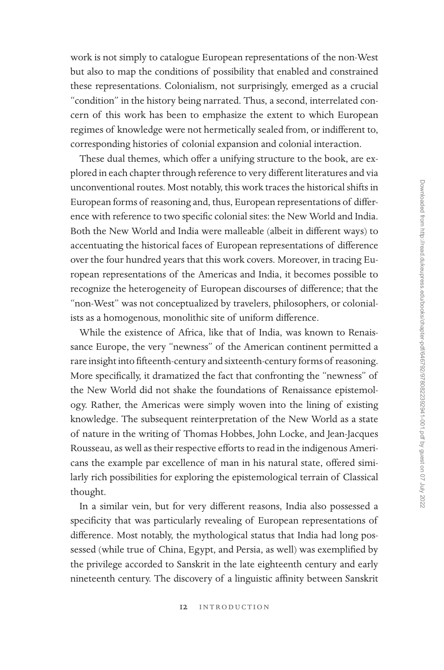work is not simply to catalogue European representations of the non-West but also to map the conditions of possibility that enabled and constrained these representations. Colonialism, not surprisingly, emerged as a crucial "condition" in the history being narrated. Thus, a second, interrelated concern of this work has been to emphasize the extent to which European regimes of knowledge were not hermetically sealed from, or indifferent to, corresponding histories of colonial expansion and colonial interaction.

These dual themes, which offer a unifying structure to the book, are explored in each chapter through reference to very different literatures and via unconventional routes. Most notably, this work traces the historical shifts in European forms of reasoning and, thus, European representations of difference with reference to two specific colonial sites: the New World and India. Both the New World and India were malleable (albeit in different ways) to accentuating the historical faces of European representations of difference over the four hundred years that this work covers. Moreover, in tracing European representations of the Americas and India, it becomes possible to recognize the heterogeneity of European discourses of difference; that the "non-West" was not conceptualized by travelers, philosophers, or colonialists as a homogenous, monolithic site of uniform difference.

While the existence of Africa, like that of India, was known to Renaissance Europe, the very "newness" of the American continent permitted a rare insight into fifteenth-century and sixteenth-century forms of reasoning. More specifically, it dramatized the fact that confronting the "newness" of the New World did not shake the foundations of Renaissance epistemology. Rather, the Americas were simply woven into the lining of existing knowledge. The subsequent reinterpretation of the New World as a state of nature in the writing of Thomas Hobbes, John Locke, and Jean-Jacques Rousseau, as well as their respective efforts to read in the indigenous Americans the example par excellence of man in his natural state, offered similarly rich possibilities for exploring the epistemological terrain of Classical thought.

In a similar vein, but for very different reasons, India also possessed a specificity that was particularly revealing of European representations of difference. Most notably, the mythological status that India had long possessed (while true of China, Egypt, and Persia, as well) was exemplified by the privilege accorded to Sanskrit in the late eighteenth century and early nineteenth century. The discovery of a linguistic affinity between Sanskrit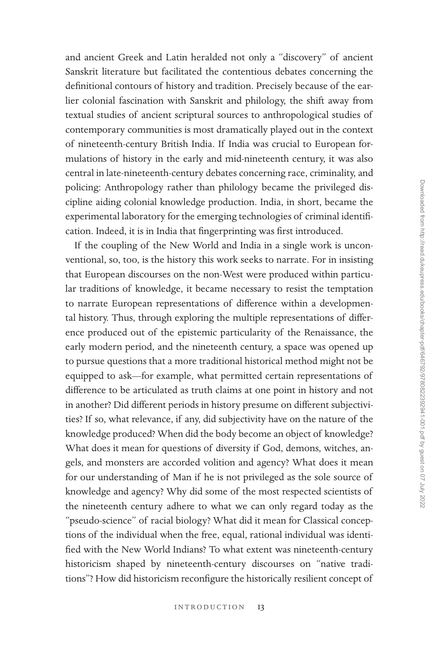and ancient Greek and Latin heralded not only a "discovery" of ancient Sanskrit literature but facilitated the contentious debates concerning the definitional contours of history and tradition. Precisely because of the earlier colonial fascination with Sanskrit and philology, the shift away from textual studies of ancient scriptural sources to anthropological studies of contemporary communities is most dramatically played out in the context of nineteenth-century British India. If India was crucial to European formulations of history in the early and mid-nineteenth century, it was also central in late-nineteenth-century debates concerning race, criminality, and policing: Anthropology rather than philology became the privileged discipline aiding colonial knowledge production. India, in short, became the experimental laboratory for the emerging technologies of criminal identification. Indeed, it is in India that fingerprinting was first introduced.

If the coupling of the New World and India in a single work is unconventional, so, too, is the history this work seeks to narrate. For in insisting that European discourses on the non-West were produced within particular traditions of knowledge, it became necessary to resist the temptation to narrate European representations of difference within a developmental history. Thus, through exploring the multiple representations of difference produced out of the epistemic particularity of the Renaissance, the early modern period, and the nineteenth century, a space was opened up to pursue questions that a more traditional historical method might not be equipped to ask—for example, what permitted certain representations of difference to be articulated as truth claims at one point in history and not in another? Did different periods in history presume on different subjectivities? If so, what relevance, if any, did subjectivity have on the nature of the knowledge produced? When did the body become an object of knowledge? What does it mean for questions of diversity if God, demons, witches, angels, and monsters are accorded volition and agency? What does it mean for our understanding of Man if he is not privileged as the sole source of knowledge and agency? Why did some of the most respected scientists of the nineteenth century adhere to what we can only regard today as the "pseudo-science" of racial biology? What did it mean for Classical conceptions of the individual when the free, equal, rational individual was identified with the New World Indians? To what extent was nineteenth-century historicism shaped by nineteenth-century discourses on "native traditions"? How did historicism reconfigure the historically resilient concept of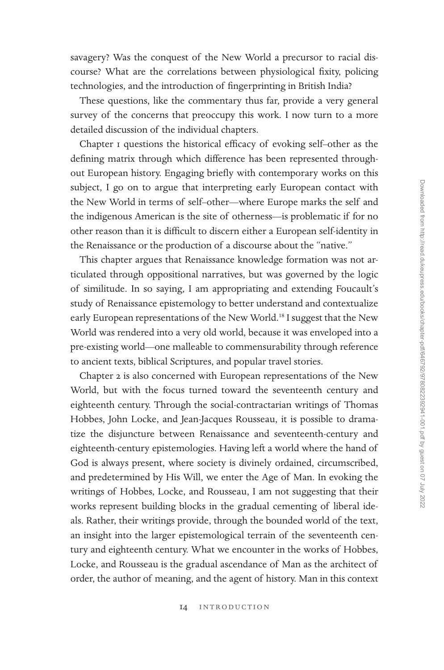savagery? Was the conquest of the New World a precursor to racial discourse? What are the correlations between physiological fixity, policing technologies, and the introduction of fingerprinting in British India?

These questions, like the commentary thus far, provide a very general survey of the concerns that preoccupy this work. I now turn to a more detailed discussion of the individual chapters.

Chapter 1 questions the historical efficacy of evoking self–other as the defining matrix through which difference has been represented throughout European history. Engaging briefly with contemporary works on this subject, I go on to argue that interpreting early European contact with the New World in terms of self–other—where Europe marks the self and the indigenous American is the site of otherness—is problematic if for no other reason than it is difficult to discern either a European self-identity in the Renaissance or the production of a discourse about the "native."

This chapter argues that Renaissance knowledge formation was not articulated through oppositional narratives, but was governed by the logic of similitude. In so saying, I am appropriating and extending Foucault's study of Renaissance epistemology to better understand and contextualize early European representations of the New World.<sup>18</sup> I suggest that the New World was rendered into a very old world, because it was enveloped into a pre-existing world—one malleable to commensurability through reference to ancient texts, biblical Scriptures, and popular travel stories.

Chapter 2 is also concerned with European representations of the New World, but with the focus turned toward the seventeenth century and eighteenth century. Through the social-contractarian writings of Thomas Hobbes, John Locke, and Jean-Jacques Rousseau, it is possible to dramatize the disjuncture between Renaissance and seventeenth-century and eighteenth-century epistemologies. Having left a world where the hand of God is always present, where society is divinely ordained, circumscribed, and predetermined by His Will, we enter the Age of Man. In evoking the writings of Hobbes, Locke, and Rousseau, I am not suggesting that their works represent building blocks in the gradual cementing of liberal ideals. Rather, their writings provide, through the bounded world of the text, an insight into the larger epistemological terrain of the seventeenth century and eighteenth century. What we encounter in the works of Hobbes, Locke, and Rousseau is the gradual ascendance of Man as the architect of order, the author of meaning, and the agent of history. Man in this context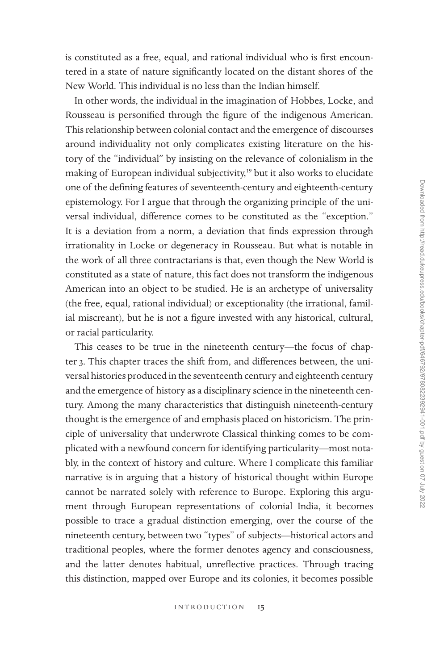is constituted as a free, equal, and rational individual who is first encountered in a state of nature significantly located on the distant shores of the New World. This individual is no less than the Indian himself.

In other words, the individual in the imagination of Hobbes, Locke, and Rousseau is personified through the figure of the indigenous American. This relationship between colonial contact and the emergence of discourses around individuality not only complicates existing literature on the history of the "individual" by insisting on the relevance of colonialism in the making of European individual subjectivity,<sup>19</sup> but it also works to elucidate one of the defining features of seventeenth-century and eighteenth-century epistemology. For I argue that through the organizing principle of the universal individual, difference comes to be constituted as the "exception." It is a deviation from a norm, a deviation that finds expression through irrationality in Locke or degeneracy in Rousseau. But what is notable in the work of all three contractarians is that, even though the New World is constituted as a state of nature, this fact does not transform the indigenous American into an object to be studied. He is an archetype of universality (the free, equal, rational individual) or exceptionality (the irrational, familial miscreant), but he is not a figure invested with any historical, cultural, or racial particularity.

This ceases to be true in the nineteenth century—the focus of chapter 3. This chapter traces the shift from, and differences between, the universal histories produced in the seventeenth century and eighteenth century and the emergence of history as a disciplinary science in the nineteenth century. Among the many characteristics that distinguish nineteenth-century thought is the emergence of and emphasis placed on historicism. The principle of universality that underwrote Classical thinking comes to be complicated with a newfound concern for identifying particularity—most notably, in the context of history and culture. Where I complicate this familiar narrative is in arguing that a history of historical thought within Europe cannot be narrated solely with reference to Europe. Exploring this argument through European representations of colonial India, it becomes possible to trace a gradual distinction emerging, over the course of the nineteenth century, between two "types" of subjects—historical actors and traditional peoples, where the former denotes agency and consciousness, and the latter denotes habitual, unreflective practices. Through tracing this distinction, mapped over Europe and its colonies, it becomes possible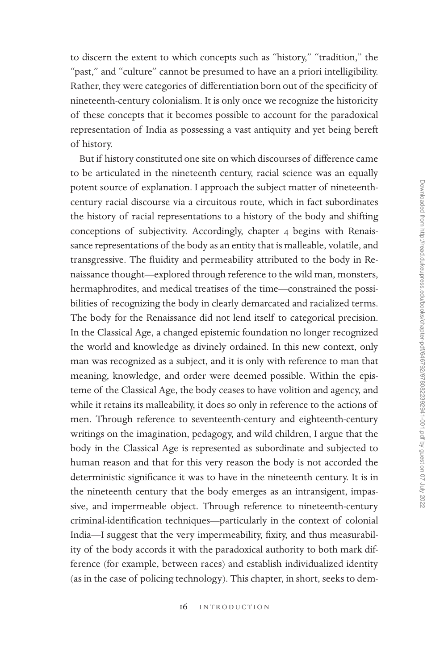to discern the extent to which concepts such as "history," "tradition," the "past," and "culture" cannot be presumed to have an a priori intelligibility. Rather, they were categories of differentiation born out of the specificity of nineteenth-century colonialism. It is only once we recognize the historicity of these concepts that it becomes possible to account for the paradoxical representation of India as possessing a vast antiquity and yet being bereft of history.

But if history constituted one site on which discourses of difference came to be articulated in the nineteenth century, racial science was an equally potent source of explanation. I approach the subject matter of nineteenthcentury racial discourse via a circuitous route, which in fact subordinates the history of racial representations to a history of the body and shifting conceptions of subjectivity. Accordingly, chapter 4 begins with Renaissance representations of the body as an entity that is malleable, volatile, and transgressive. The fluidity and permeability attributed to the body in Renaissance thought—explored through reference to the wild man, monsters, hermaphrodites, and medical treatises of the time—constrained the possibilities of recognizing the body in clearly demarcated and racialized terms. The body for the Renaissance did not lend itself to categorical precision. In the Classical Age, a changed epistemic foundation no longer recognized the world and knowledge as divinely ordained. In this new context, only man was recognized as a subject, and it is only with reference to man that meaning, knowledge, and order were deemed possible. Within the episteme of the Classical Age, the body ceases to have volition and agency, and while it retains its malleability, it does so only in reference to the actions of men. Through reference to seventeenth-century and eighteenth-century writings on the imagination, pedagogy, and wild children, I argue that the body in the Classical Age is represented as subordinate and subjected to human reason and that for this very reason the body is not accorded the deterministic significance it was to have in the nineteenth century. It is in the nineteenth century that the body emerges as an intransigent, impassive, and impermeable object. Through reference to nineteenth-century criminal-identification techniques—particularly in the context of colonial India—I suggest that the very impermeability, fixity, and thus measurability of the body accords it with the paradoxical authority to both mark difference (for example, between races) and establish individualized identity (as in the case of policing technology). This chapter, in short, seeks to dem